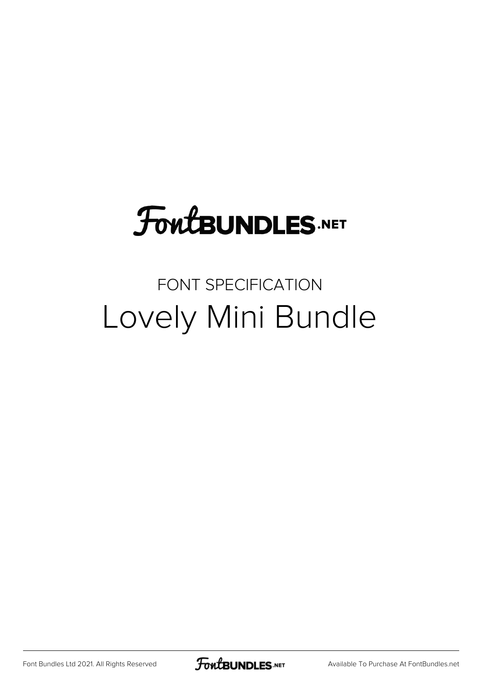# **FoutBUNDLES.NET**

### FONT SPECIFICATION Lovely Mini Bundle

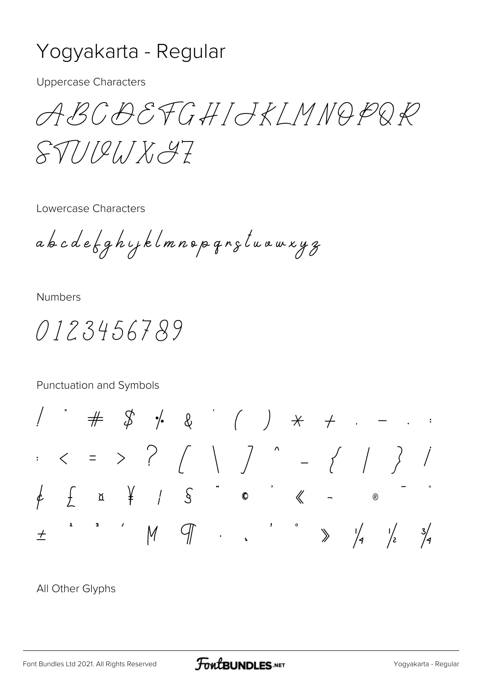#### Yogyakarta - Regular

**Uppercase Characters** 

ABCAEFGHIJKLMNQPQR STUII 1 X 47

Lowercase Characters

abcdefghyklmnopqnstuawxyz

**Numbers** 

0123456789

Punctuation and Symbols

 $\frac{1}{2}$  #  $\frac{1}{2}$   $\frac{1}{2}$   $\frac{1}{2}$   $\frac{1}{2}$   $\frac{1}{2}$   $\frac{1}{2}$   $\frac{1}{2}$   $\frac{1}{2}$   $\frac{1}{2}$   $\frac{1}{2}$   $\frac{1}{2}$   $\frac{1}{2}$   $\frac{1}{2}$   $\frac{1}{2}$   $\frac{1}{2}$   $\frac{1}{2}$   $\frac{1}{2}$   $\frac{1}{2}$   $\frac{1}{2}$   $\frac{1}{2}$   $\frac{1}{2}$  $\frac{1}{2}$   $\frac{1}{2}$   $\frac{1}{2}$   $\frac{1}{2}$   $\frac{1}{2}$   $\frac{1}{2}$   $\frac{1}{2}$   $\frac{1}{2}$   $\frac{1}{2}$   $\frac{1}{2}$   $\frac{1}{2}$   $\frac{1}{2}$   $\frac{1}{2}$   $\frac{1}{2}$   $\frac{1}{2}$   $\frac{1}{2}$  $\phi$   $f$   $\alpha$   $f$  /  $S$   $\circ$   $\circ$   $\circ$  $\circledR$  $\overline{+}$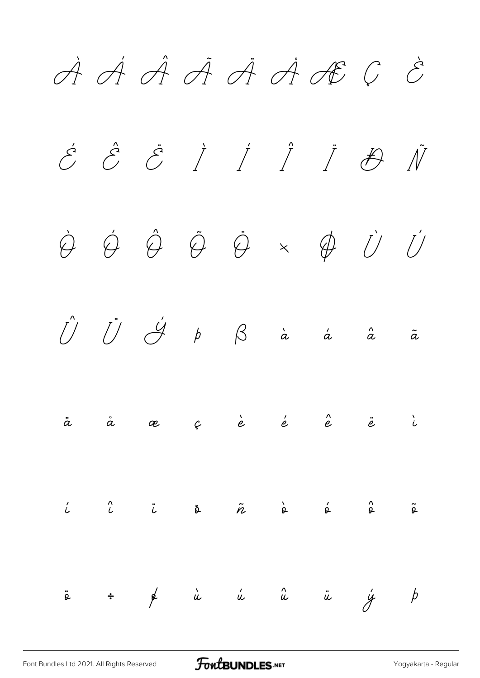À Á Â Ã Ä Å Æ Ç È  $\acute{c}$   $\acute{c}$   $\acute{c}$   $\acute{c}$   $\acute{c}$   $\acute{c}$   $\acute{c}$   $\acute{c}$   $\acute{c}$   $\acute{c}$   $\acute{c}$   $\acute{c}$   $\acute{c}$   $\acute{c}$   $\acute{c}$   $\acute{c}$   $\acute{c}$   $\acute{c}$   $\acute{c}$   $\acute{c}$   $\acute{c}$   $\acute{c}$   $\acute{c}$   $\acute{c}$   $\acute{c}$   $\acute{c}$   $\acute{c}$   $\acute{c$  $\dot{\varphi}$   $\dot{\varphi}$   $\dot{\varphi}$   $\ddot{\varphi}$   $\times$   $\dot{\varphi}$   $\dot{U}$   $\dot{U}$  $\hat{U}$   $\hat{U}$   $\hat{\hat{Y}}$   $\hat{\beta}$   $\hat{\beta}$  à á á  $\hat{a}$  ã ä å æ ç è é ê ë ì  $\tilde{L}$   $\tilde{L}$   $\tilde{L}$   $\tilde{R}$   $\tilde{R}$   $\tilde{R}$   $\tilde{R}$   $\tilde{R}$   $\tilde{R}$   $\tilde{R}$   $\tilde{R}$   $\tilde{R}$  $\ddot{a}$   $\dot{a}$   $\dot{a}$   $\ddot{a}$   $\ddot{a}$   $\ddot{a}$   $\dot{y}$   $b$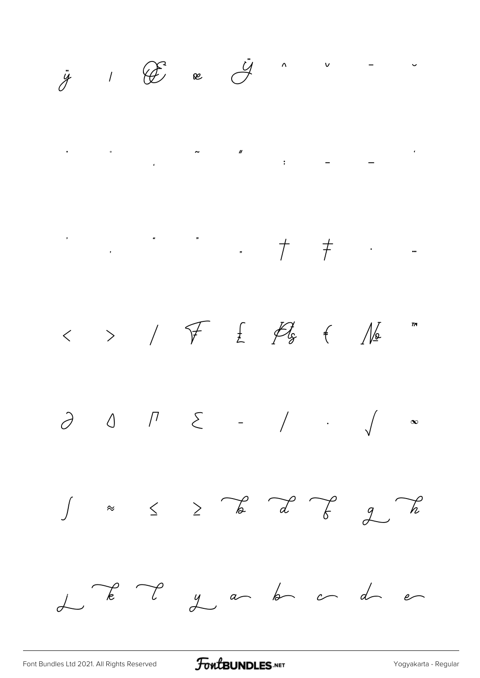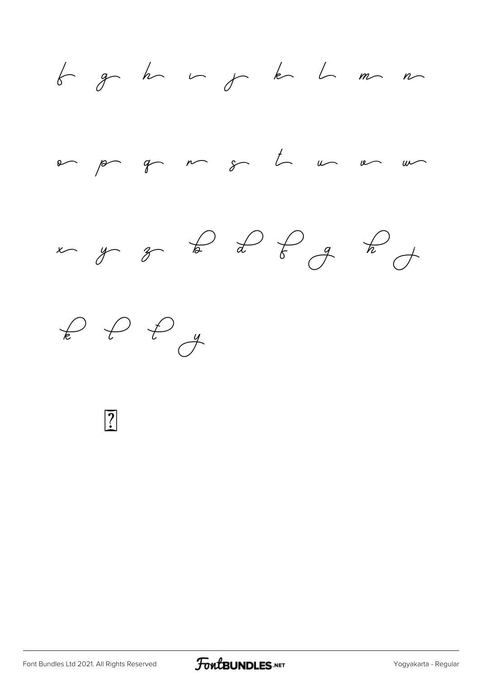$\overleftarrow{\delta}$  of  $\overleftarrow{\delta}$  in  $\overleftarrow{\delta}$  is the  $\overleftarrow{\delta}$  mann





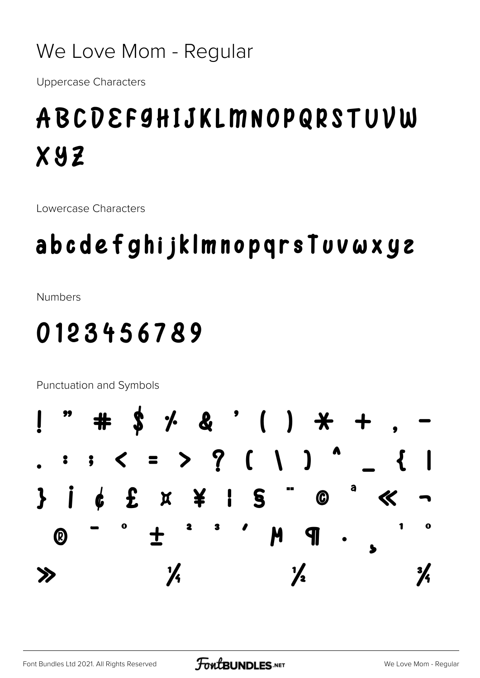#### We Love Mom - Regular

**Uppercase Characters** 

## ABCDEF9HIJKLMNOPQRSTUVW **XYZ**

Lowercase Characters

### abcdefghijklmnopqrsTuvwxyz

**Numbers** 

### 0123456789

Punctuation and Symbols

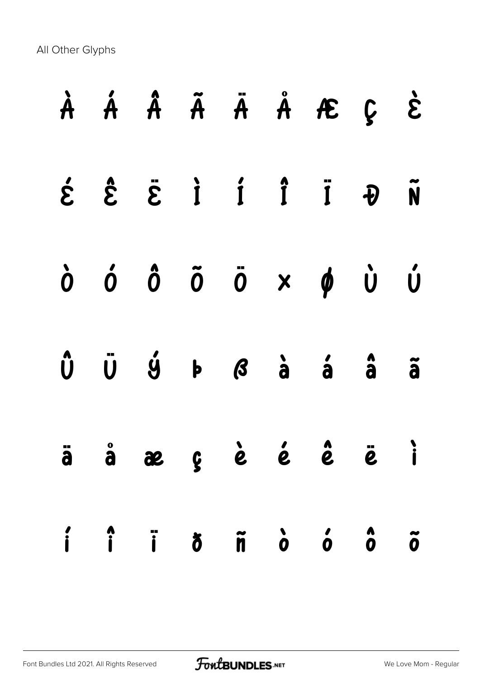|  |  |  | À Á Â Ã Ã Å Æ Ç È                                                                                   |  |
|--|--|--|-----------------------------------------------------------------------------------------------------|--|
|  |  |  | $\tilde{v}$ $\theta$ i i i i $\tilde{s}$ i $\tilde{z}$ i $\tilde{z}$ i $\tilde{z}$                  |  |
|  |  |  | $\dot{o}$ $\dot{o}$ $\ddot{o}$ $\ddot{o}$ $\times$ $\dot{\phi}$ $\dot{v}$                           |  |
|  |  |  | $\hat{U}$ $\ddot{U}$ $\acute{S}$ $\dot{B}$ $\acute{a}$ $\acute{a}$ $\ddot{a}$ $\ddot{a}$ $\ddot{a}$ |  |
|  |  |  | äåæçèé ê ë i                                                                                        |  |
|  |  |  | $\hat{i}$ $\hat{i}$ $\hat{j}$ $\hat{o}$ $\hat{n}$ $\hat{o}$ $\hat{o}$ $\hat{o}$ $\hat{o}$           |  |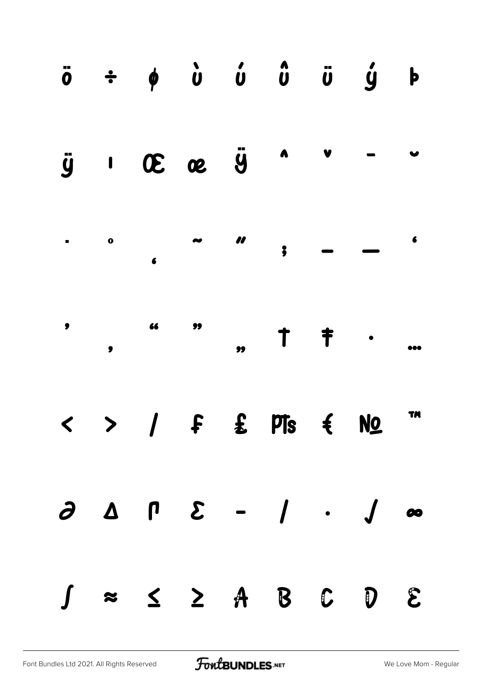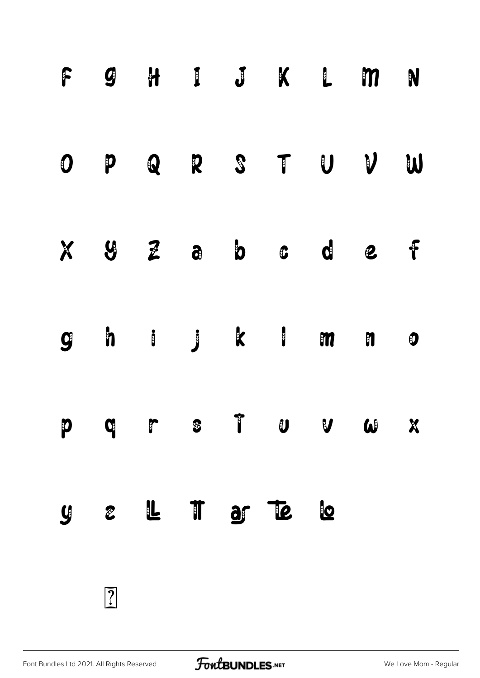|              |                |  | F G H I J K L           |    | m | N            |
|--------------|----------------|--|-------------------------|----|---|--------------|
|              |                |  | OPQRSTUV                |    |   | W            |
|              |                |  | $X$ $Y$ $Z$ a b c d e f |    |   |              |
|              |                |  | ghijklmno               |    |   |              |
| p            |                |  | grs fov                 |    |   | $\mathbf{X}$ |
| $\mathcal G$ | $\mathbf{z}$   |  | L T or Te               | lo |   |              |
|              | $\overline{?}$ |  |                         |    |   |              |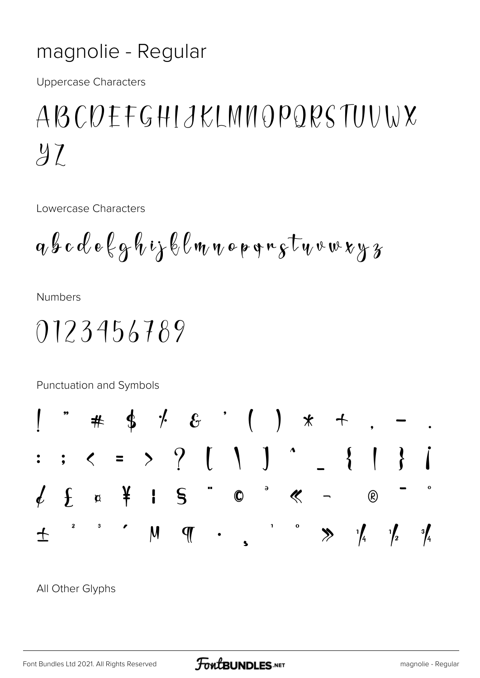#### magnolie - Regular

**Uppercase Characters** 

## $ABCOEFGHIJKLMMOPQRSTUVWX$  $\overline{27}$

Lowercase Characters

$$
a\mathcal{b}\,c\,d\,e\mathcal{b}\,g\mathcal{b}\,ij\mathcal{b}\mathcal{b}\,m\,v\,c\,\rho\,\rho\,r\,g\,t\,v\,v\,w\,v\,y\,z
$$

**Numbers** 

0123456789

Punctuation and Symbols  $\oint \phi$  /  $\oint$  ( )  $\ast$  $\boldsymbol{+}$  $#$  $\langle$  = > ? [ \ ]  $\triangle$  $\{$  $\{ \}$  $\ddot{\bullet}$  $\ddot{\bullet}$  $\mathsf a$  $\mathfrak{a}$  #  $\vert$  S  $\int$  $\ddot{\mathbb{C}}$  $\ll$  $\circledR$  $\overline{\mathbf{3}}$  $\bullet$  $\bf{2}$  $\mathbf{1}$  $\overline{M}$  $\frac{1}{4}$  $\frac{1}{2}$  $\P$  $\sum_{i=1}^{n}$  $\frac{3}{4}$  $\div$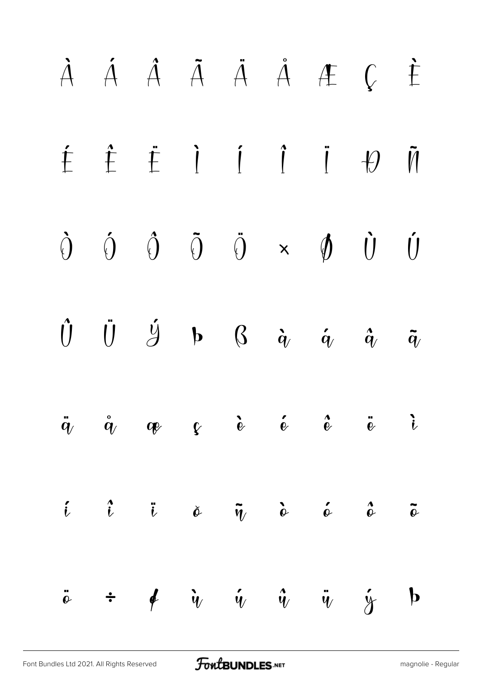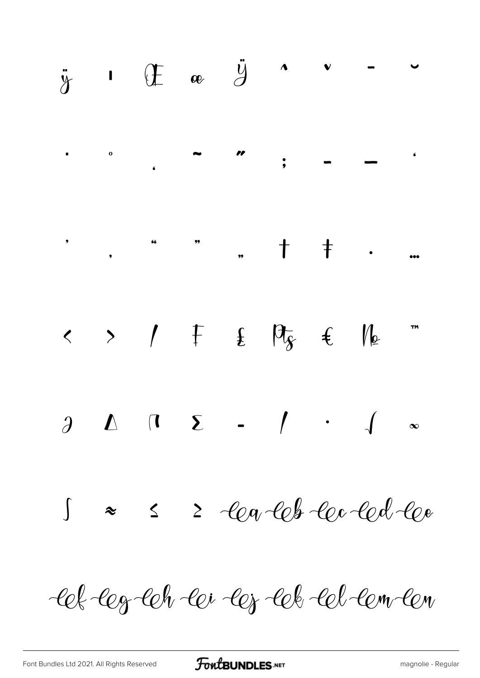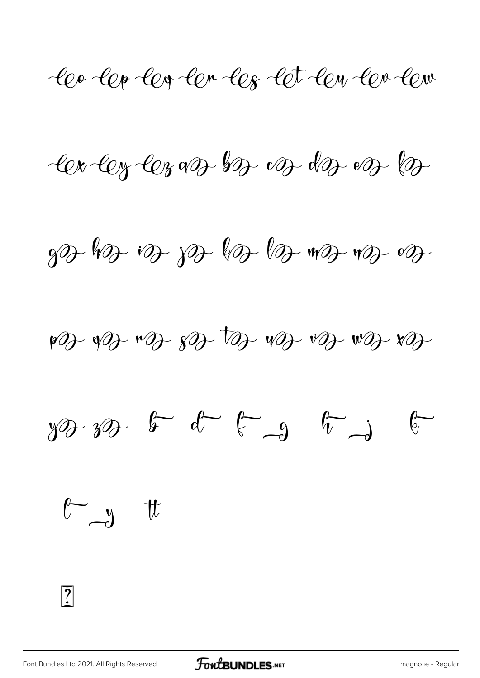les les les les les les let leu les les

lex leg leg as big og dig og la

gos hos var jar har har mar var oar

poz poz moz 802 toz woz voz woz xoz

 $y\rightarrow y\rightarrow 0$  for  $d^{\prime}$  for  $g^{\prime}$  for  $f^{\prime}$ 

 $\ell$  y the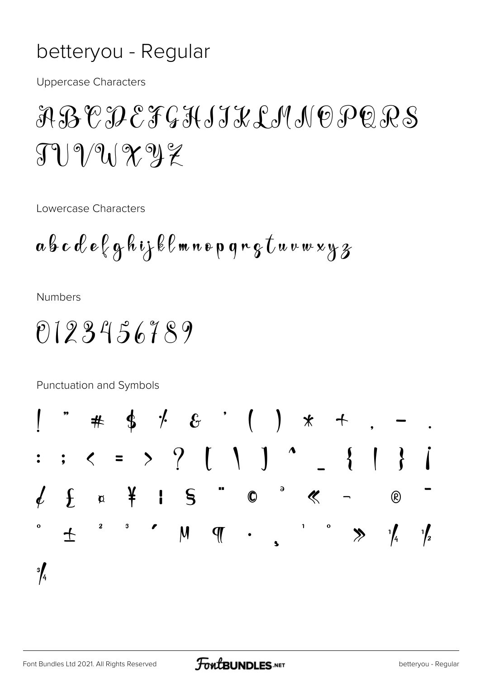#### betteryou - Regular

**Uppercase Characters** 

## ABCDEFGHJKLMNOPQRS  $T19/21272$

Lowercase Characters

$$
a\,b\,c\,d\,e\,\ell\,g\,h\,ij\,\ell\,\ell\,\text{m}\,n\,\text{p}\,q\,\text{r}\,g\,t\,\text{u}\,\text{v}\,\text{w}\,\text{x}\,\text{y}\,\text{z}
$$

**Numbers** 

 $P123456789$ 

Punctuation and Symbols

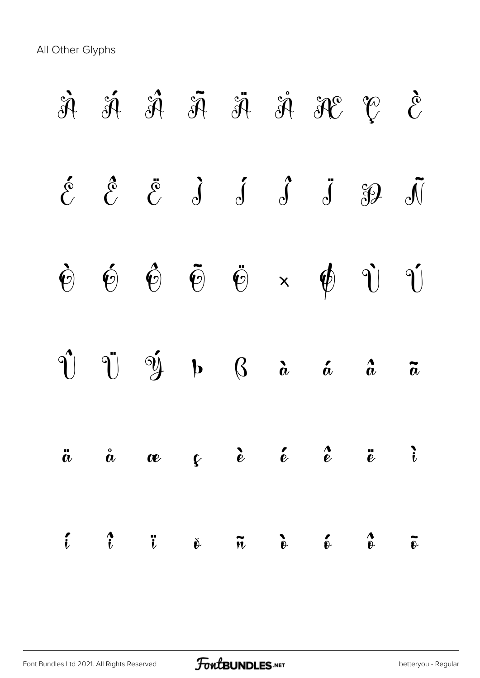|              |                               |  |             | $\begin{array}{ccccccccc}\hat{\mathfrak{R}}&\hat{\mathfrak{R}}&\hat{\mathfrak{R}}&\hat{\mathfrak{R}}&\hat{\mathfrak{R}}&\hat{\mathfrak{R}}&\hat{\mathfrak{R}}&\hat{\mathfrak{R}}&\hat{\mathfrak{R}}&\hat{\mathfrak{R}}&\hat{\mathfrak{R}}&\hat{\mathfrak{R}}&\hat{\mathfrak{R}}&\hat{\mathfrak{R}}&\hat{\mathfrak{R}}&\hat{\mathfrak{R}}&\hat{\mathfrak{R}}&\hat{\mathfrak{R}}&\hat{\mathfrak{R}}&\hat{\mathfrak{R}}&\hat{\mathfrak{R}}&\hat$ |                    |                      |
|--------------|-------------------------------|--|-------------|-----------------------------------------------------------------------------------------------------------------------------------------------------------------------------------------------------------------------------------------------------------------------------------------------------------------------------------------------------------------------------------------------------------------------------------------------|--------------------|----------------------|
|              |                               |  |             | $\begin{array}{ccccccccc}\n\delta & \delta & \delta & \delta & \delta & \delta & \delta & \delta\n\end{array}$                                                                                                                                                                                                                                                                                                                                |                    |                      |
|              |                               |  |             | $\dot{\Theta} \quad \dot{\Theta} \quad \dot{\Theta} \quad \ddot{\Theta} \quad \ddot{\Theta} \quad \times \quad \phi \quad \dot{\Upsilon} \quad \Upsilon$                                                                                                                                                                                                                                                                                      |                    |                      |
|              |                               |  |             | $\hat{U}$ $\hat{U}$ $\hat{y}$ b $\hat{B}$ $\hat{a}$ $\hat{a}$ $\hat{a}$ $\hat{a}$                                                                                                                                                                                                                                                                                                                                                             |                    |                      |
|              |                               |  |             | $\ddot{a}$ $\ddot{a}$ $\alpha$ $\zeta$ $\ddot{e}$ $\ddot{e}$ $\ddot{e}$ $\ddot{e}$ $\ddot{e}$                                                                                                                                                                                                                                                                                                                                                 |                    |                      |
| $\mathbf{i}$ | $\hat{i}$ $\hat{i}$ $\hat{b}$ |  | $\tilde{n}$ | $\partial$ $\theta$                                                                                                                                                                                                                                                                                                                                                                                                                           | $\hat{\mathbf{e}}$ | $\tilde{\mathbf{e}}$ |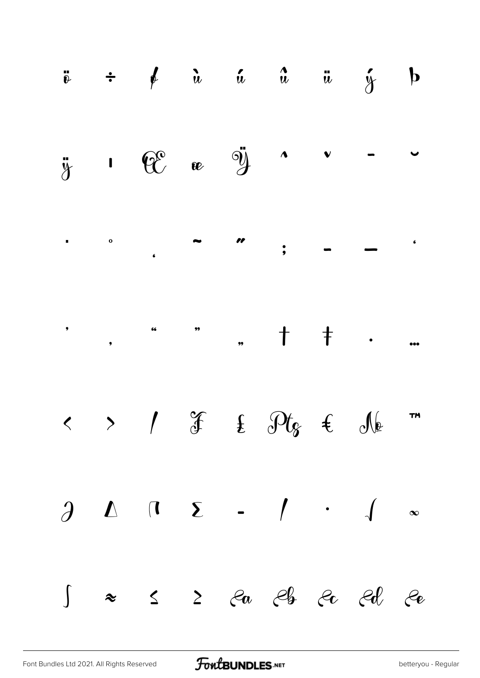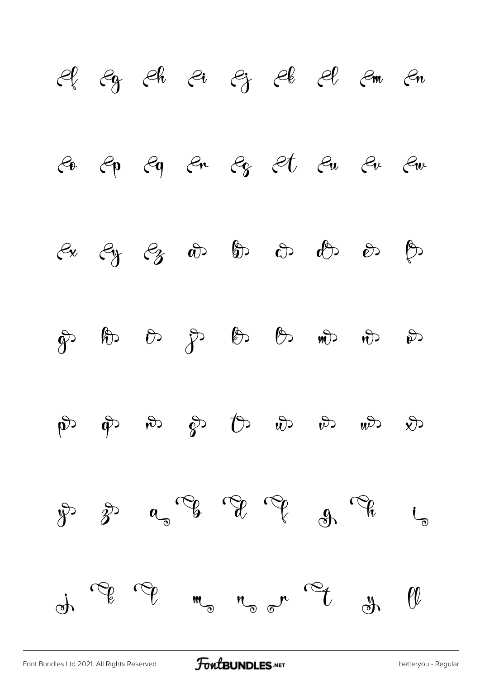

[Font Bundles Ltd 2021. All Rights Reserved](https://fontbundles.net/) **FoutBUNDLES.NET** [betteryou - Regular](https://fontbundles.net/)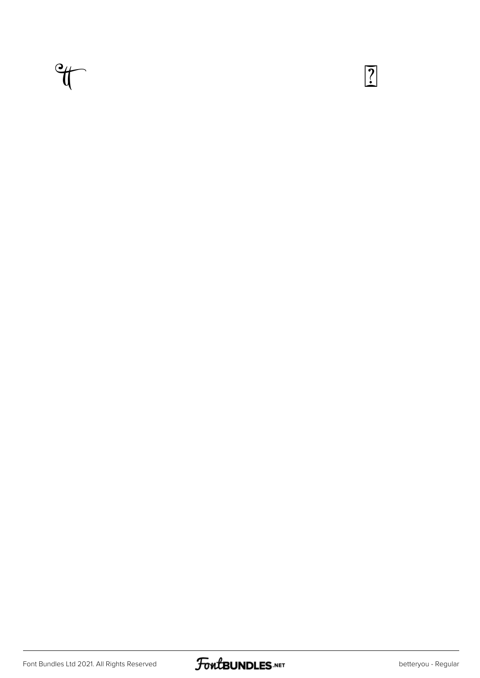$\sqrt{2}$ 

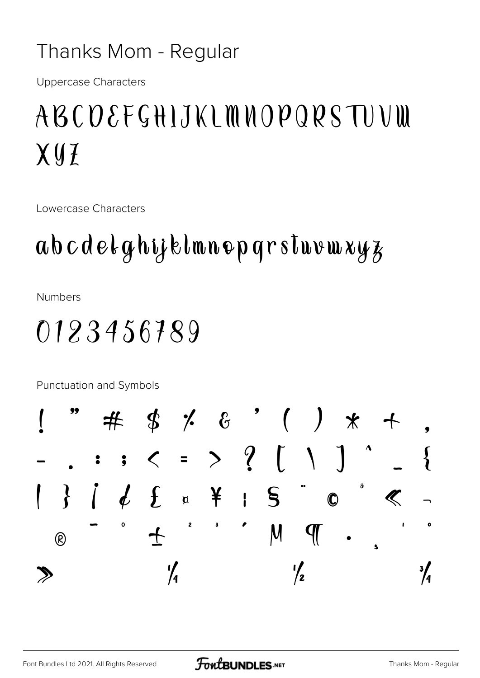#### Thanks Mom - Regular

**Uppercase Characters** 

## ABCDEFGHIJKLMMOPQRSTUVW  $X$ *y* $I$

Lowercase Characters

## abcdelghyklmnopgrstuvwxyz

**Numbers** 

### 0123456789

Punctuation and Symbols

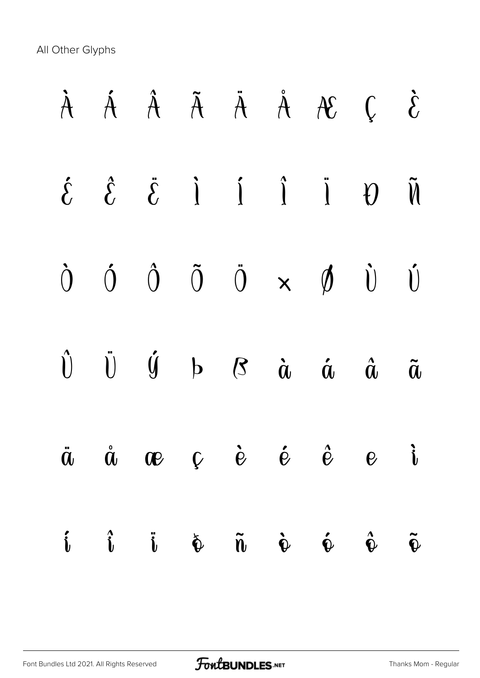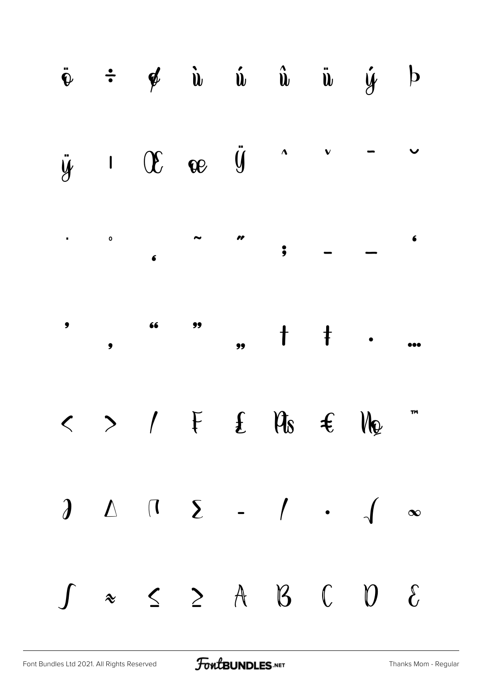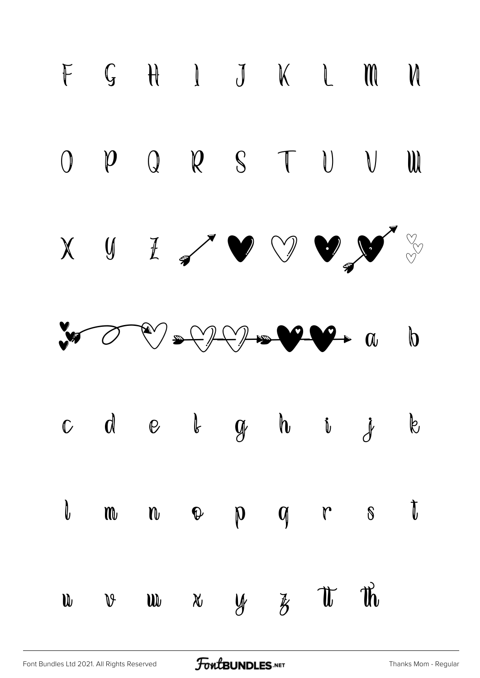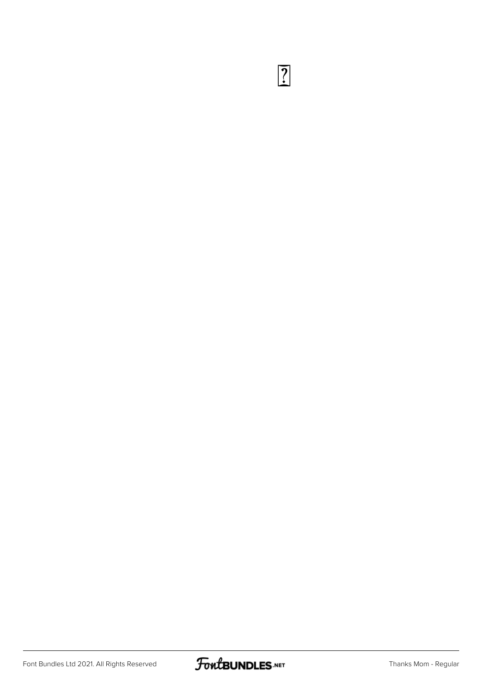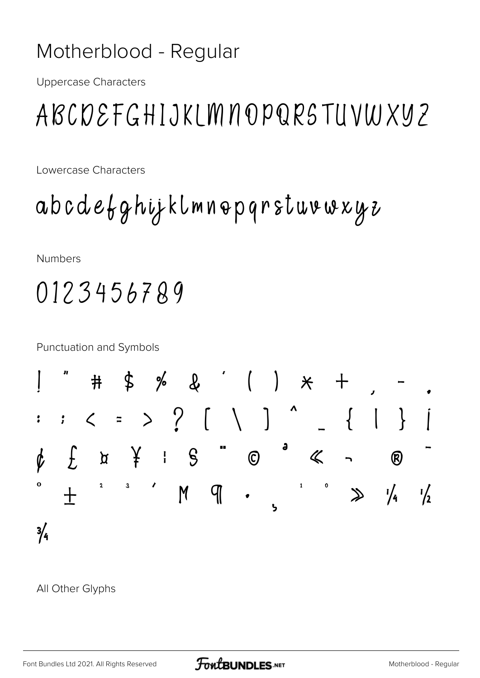#### Motherblood - Regular

**Uppercase Characters** 

### ABCDEFGHIJKLMNOPQRSTUVWXYZ

Lowercase Characters

abcdefghijklmnopqrstuvwxyz

Numbers

### 0123456789

Punctuation and Symbols

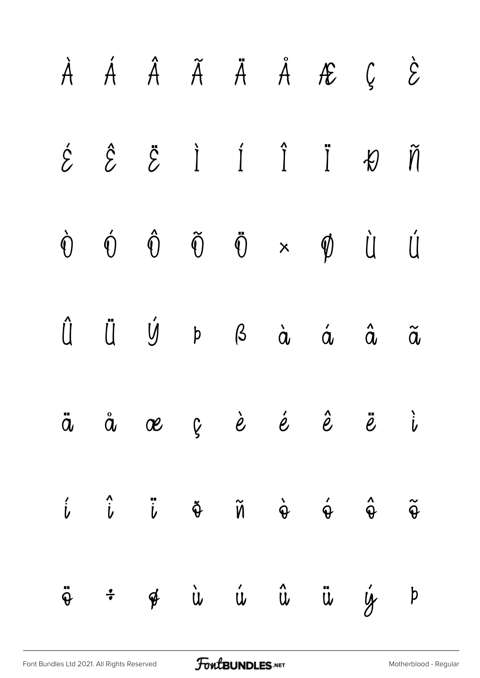|  |  |  | $\dot{A}$ $\dot{A}$ $\dot{A}$ $\ddot{A}$ $\ddot{A}$ $\dot{A}$ $\dot{B}$ $\dot{C}$                                                                                                                                                                                                                                                                                                                                                                |  |
|--|--|--|--------------------------------------------------------------------------------------------------------------------------------------------------------------------------------------------------------------------------------------------------------------------------------------------------------------------------------------------------------------------------------------------------------------------------------------------------|--|
|  |  |  | $\acute{\mathcal{E}}\qquad \  \  \, \acute{\mathcal{E}}\qquad \  \  \, \dot{\mathcal{E}}\qquad \  \  \, \dot{\mathcal{I}}\qquad \  \  \, \dot{\mathcal{I}}\qquad \  \  \, \ddot{\mathcal{I}}\qquad \  \  \, \ddot{\mathcal{V}}\qquad \  \  \, \ddot{\mathcal{V}}\qquad \  \  \, \mathcal{\tilde{V}}\qquad \  \  \, \mathcal{\tilde{V}}\qquad \  \  \, \mathcal{\tilde{V}}\qquad \  \  \, \mathcal{\tilde{V}}\qquad \  \  \, \mathcal{\tilde{V}}$ |  |
|  |  |  | $\dot{\mathbb{O}}\hspace{0.1in} \dot{\mathbb{O}} \hspace{0.1in} \dot{\mathbb{O}} \hspace{0.1in} \ddot{\mathbb{O}} \hspace{0.1in} \times \hspace{0.1in} \boldsymbol{\varphi} \hspace{0.1in} \dot{\mathbb{U}} \hspace{0.1in} \dot{\mathbb{U}}$                                                                                                                                                                                                     |  |
|  |  |  | $\hat{\mathsf{U}}\quad \  \  \, \ddot{\mathsf{U}}\qquad \  \  \, \dot{\mathsf{U}}\qquad \  \  \, \dot{\mathsf{D}}\qquad \  \  \, \dot{\mathsf{D}}\qquad \  \  \, \dot{\mathsf{G}}\qquad \  \  \, \dot{\mathsf{G}}\qquad \  \  \, \tilde{\mathsf{O}}\qquad \  \  \, \tilde{\mathsf{O}}\qquad \  \  \, \tilde{\mathsf{O}}\qquad \  \  \, \tilde{\mathsf{O}}\qquad \  \  \, \tilde{\mathsf{O}}\qquad \  \  \, \tilde{\mathsf{O}}\q$                 |  |
|  |  |  | ä å æ ç è é ê ë i                                                                                                                                                                                                                                                                                                                                                                                                                                |  |
|  |  |  | $\begin{array}{ccccccccccccc} \hat{i} & \hat{i} & \hat{i} & \hat{0} & \hat{0} & \hat{0} & \hat{0} & \hat{0} & \hat{0} & \hat{0} & \hat{0} & \hat{0} & \hat{0} & \hat{0} & \hat{0} & \hat{0} & \hat{0} & \hat{0} & \hat{0} & \hat{0} & \hat{0} & \hat{0} & \hat{0} & \hat{0} & \hat{0} & \hat{0} & \hat{0} & \hat{0} & \hat{0} & \hat{0} & \hat{0} & \hat{0} & \hat{0} & \hat{0} & \hat{0} & \hat{$                                               |  |
|  |  |  | $\ddot{\theta}$ = $\dot{\theta}$ $\dot{u}$ $\dot{u}$ $\ddot{u}$ $\ddot{u}$ $\dot{y}$ $\dot{p}$                                                                                                                                                                                                                                                                                                                                                   |  |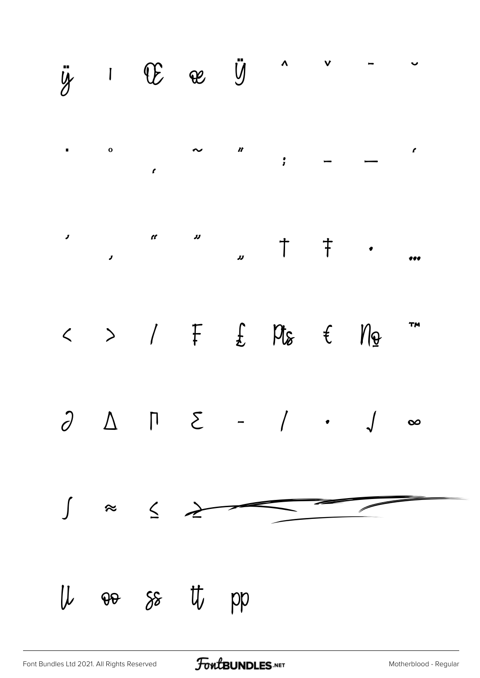